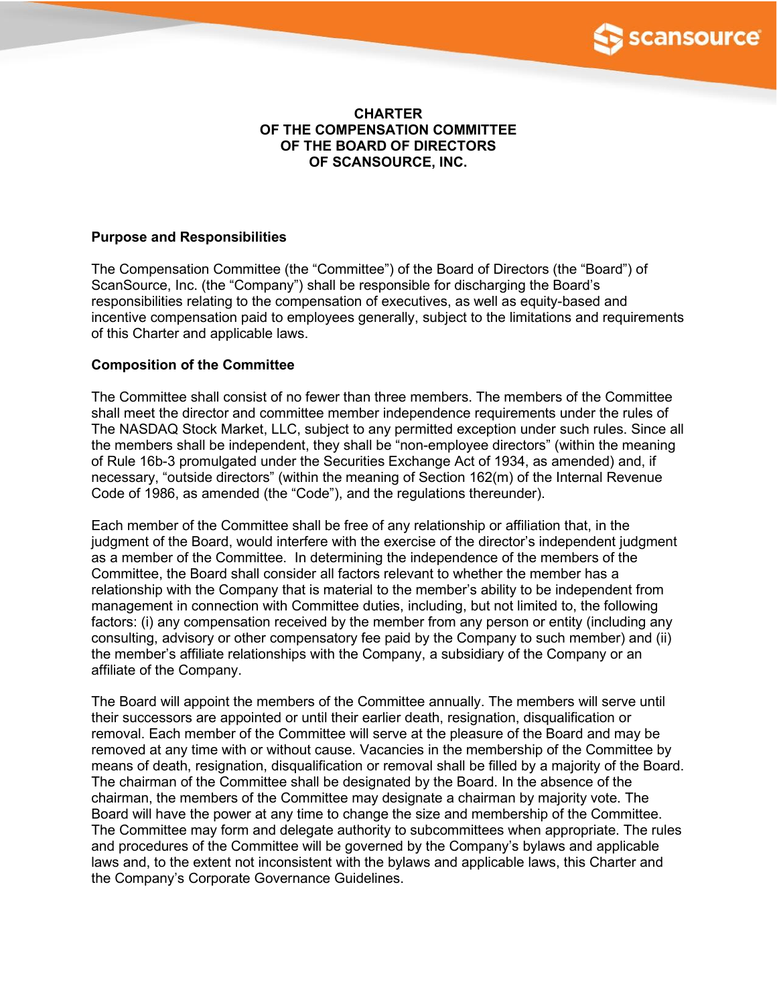

## **CHARTER OF THE COMPENSATION COMMITTEE OF THE BOARD OF DIRECTORS OF SCANSOURCE, INC.**

## **Purpose and Responsibilities**

The Compensation Committee (the "Committee") of the Board of Directors (the "Board") of ScanSource, Inc. (the "Company") shall be responsible for discharging the Board's responsibilities relating to the compensation of executives, as well as equity-based and incentive compensation paid to employees generally, subject to the limitations and requirements of this Charter and applicable laws.

## **Composition of the Committee**

The Committee shall consist of no fewer than three members. The members of the Committee shall meet the director and committee member independence requirements under the rules of The NASDAQ Stock Market, LLC, subject to any permitted exception under such rules. Since all the members shall be independent, they shall be "non-employee directors" (within the meaning of Rule 16b-3 promulgated under the Securities Exchange Act of 1934, as amended) and, if necessary, "outside directors" (within the meaning of Section 162(m) of the Internal Revenue Code of 1986, as amended (the "Code"), and the regulations thereunder).

Each member of the Committee shall be free of any relationship or affiliation that, in the judgment of the Board, would interfere with the exercise of the director's independent judgment as a member of the Committee. In determining the independence of the members of the Committee, the Board shall consider all factors relevant to whether the member has a relationship with the Company that is material to the member's ability to be independent from management in connection with Committee duties, including, but not limited to, the following factors: (i) any compensation received by the member from any person or entity (including any consulting, advisory or other compensatory fee paid by the Company to such member) and (ii) the member's affiliate relationships with the Company, a subsidiary of the Company or an affiliate of the Company.

The Board will appoint the members of the Committee annually. The members will serve until their successors are appointed or until their earlier death, resignation, disqualification or removal. Each member of the Committee will serve at the pleasure of the Board and may be removed at any time with or without cause. Vacancies in the membership of the Committee by means of death, resignation, disqualification or removal shall be filled by a majority of the Board. The chairman of the Committee shall be designated by the Board. In the absence of the chairman, the members of the Committee may designate a chairman by majority vote. The Board will have the power at any time to change the size and membership of the Committee. The Committee may form and delegate authority to subcommittees when appropriate. The rules and procedures of the Committee will be governed by the Company's bylaws and applicable laws and, to the extent not inconsistent with the bylaws and applicable laws, this Charter and the Company's Corporate Governance Guidelines.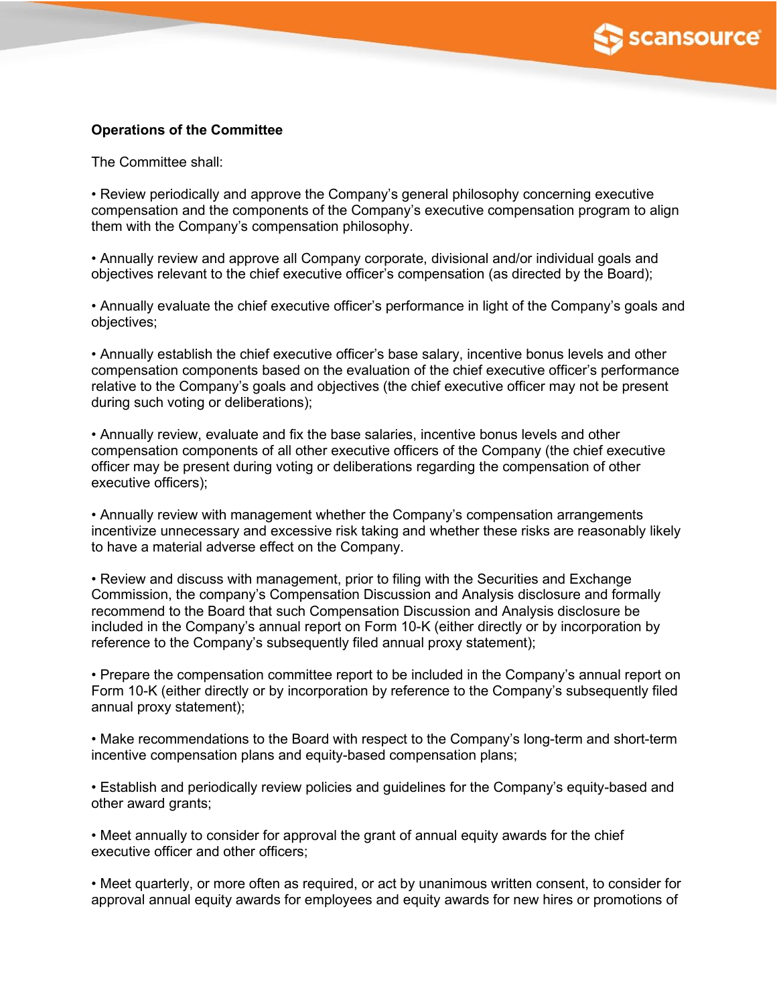

# **Operations of the Committee**

The Committee shall:

• Review periodically and approve the Company's general philosophy concerning executive compensation and the components of the Company's executive compensation program to align them with the Company's compensation philosophy.

• Annually review and approve all Company corporate, divisional and/or individual goals and objectives relevant to the chief executive officer's compensation (as directed by the Board);

• Annually evaluate the chief executive officer's performance in light of the Company's goals and objectives;

• Annually establish the chief executive officer's base salary, incentive bonus levels and other compensation components based on the evaluation of the chief executive officer's performance relative to the Company's goals and objectives (the chief executive officer may not be present during such voting or deliberations);

• Annually review, evaluate and fix the base salaries, incentive bonus levels and other compensation components of all other executive officers of the Company (the chief executive officer may be present during voting or deliberations regarding the compensation of other executive officers);

• Annually review with management whether the Company's compensation arrangements incentivize unnecessary and excessive risk taking and whether these risks are reasonably likely to have a material adverse effect on the Company.

• Review and discuss with management, prior to filing with the Securities and Exchange Commission, the company's Compensation Discussion and Analysis disclosure and formally recommend to the Board that such Compensation Discussion and Analysis disclosure be included in the Company's annual report on Form 10-K (either directly or by incorporation by reference to the Company's subsequently filed annual proxy statement);

• Prepare the compensation committee report to be included in the Company's annual report on Form 10-K (either directly or by incorporation by reference to the Company's subsequently filed annual proxy statement);

• Make recommendations to the Board with respect to the Company's long-term and short-term incentive compensation plans and equity-based compensation plans;

• Establish and periodically review policies and guidelines for the Company's equity-based and other award grants;

• Meet annually to consider for approval the grant of annual equity awards for the chief executive officer and other officers;

• Meet quarterly, or more often as required, or act by unanimous written consent, to consider for approval annual equity awards for employees and equity awards for new hires or promotions of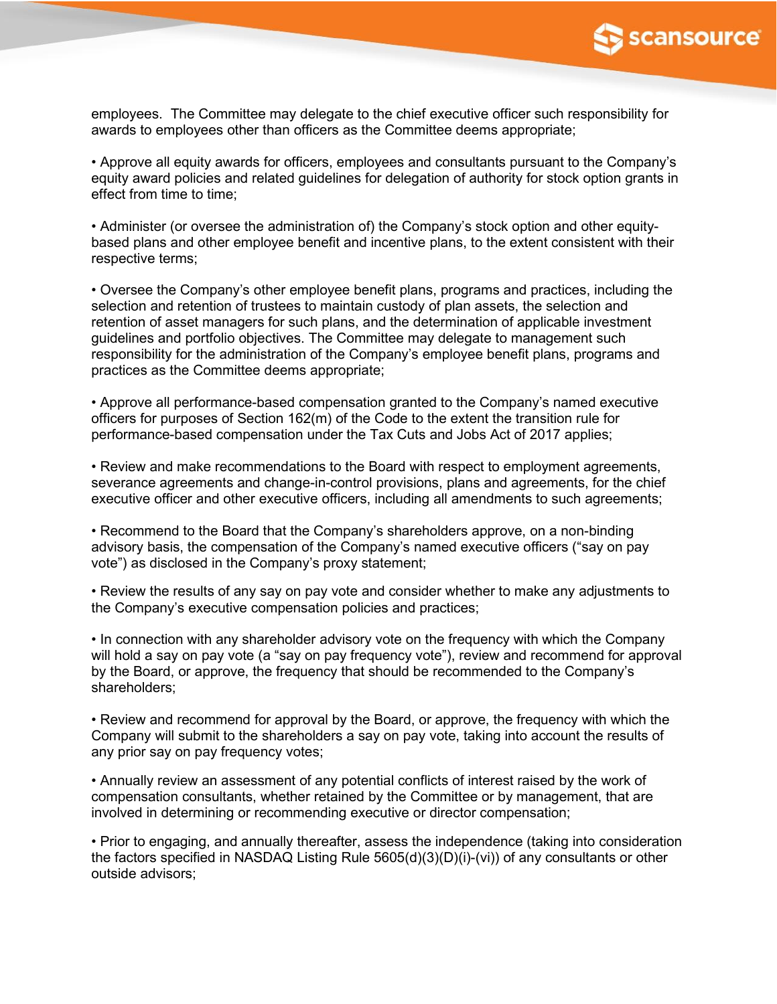

employees. The Committee may delegate to the chief executive officer such responsibility for awards to employees other than officers as the Committee deems appropriate;

• Approve all equity awards for officers, employees and consultants pursuant to the Company's equity award policies and related guidelines for delegation of authority for stock option grants in effect from time to time;

• Administer (or oversee the administration of) the Company's stock option and other equitybased plans and other employee benefit and incentive plans, to the extent consistent with their respective terms;

• Oversee the Company's other employee benefit plans, programs and practices, including the selection and retention of trustees to maintain custody of plan assets, the selection and retention of asset managers for such plans, and the determination of applicable investment guidelines and portfolio objectives. The Committee may delegate to management such responsibility for the administration of the Company's employee benefit plans, programs and practices as the Committee deems appropriate;

• Approve all performance-based compensation granted to the Company's named executive officers for purposes of Section 162(m) of the Code to the extent the transition rule for performance-based compensation under the Tax Cuts and Jobs Act of 2017 applies;

• Review and make recommendations to the Board with respect to employment agreements, severance agreements and change-in-control provisions, plans and agreements, for the chief executive officer and other executive officers, including all amendments to such agreements;

• Recommend to the Board that the Company's shareholders approve, on a non-binding advisory basis, the compensation of the Company's named executive officers ("say on pay vote") as disclosed in the Company's proxy statement;

• Review the results of any say on pay vote and consider whether to make any adjustments to the Company's executive compensation policies and practices;

• In connection with any shareholder advisory vote on the frequency with which the Company will hold a say on pay vote (a "say on pay frequency vote"), review and recommend for approval by the Board, or approve, the frequency that should be recommended to the Company's shareholders;

• Review and recommend for approval by the Board, or approve, the frequency with which the Company will submit to the shareholders a say on pay vote, taking into account the results of any prior say on pay frequency votes;

• Annually review an assessment of any potential conflicts of interest raised by the work of compensation consultants, whether retained by the Committee or by management, that are involved in determining or recommending executive or director compensation;

• Prior to engaging, and annually thereafter, assess the independence (taking into consideration the factors specified in NASDAQ Listing Rule 5605(d)(3)(D)(i)-(vi)) of any consultants or other outside advisors;